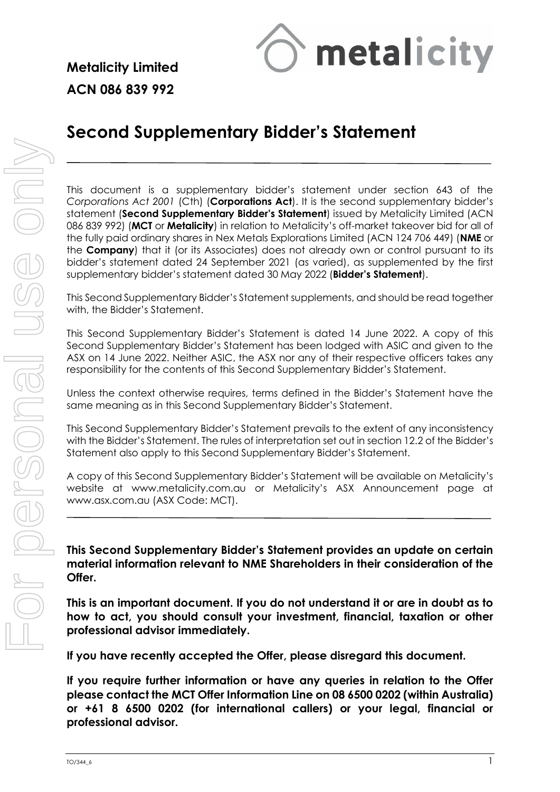**Metalicity Limited ACN 086 839 992**



# **Second Supplementary Bidder's Statement**

This document is a supplementary bidder's statement under section 643 of the *Corporations Act 2001* (Cth) (**Corporations Act**). It is the second supplementary bidder's statement (**Second Supplementary Bidder's Statement**) issued by Metalicity Limited (ACN 086 839 992) (**MCT** or **Metalicity**) in relation to Metalicity's off-market takeover bid for all of the fully paid ordinary shares in Nex Metals Explorations Limited (ACN 124 706 449) (**NME** or the **Company**) that it (or its Associates) does not already own or control pursuant to its bidder's statement dated 24 September 2021 (as varied), as supplemented by the first supplementary bidder's statement dated 30 May 2022 (**Bidder's Statement**).

This Second Supplementary Bidder's Statement supplements, and should be read together with, the Bidder's Statement.

This Second Supplementary Bidder's Statement is dated 14 June 2022. A copy of this Second Supplementary Bidder's Statement has been lodged with ASIC and given to the ASX on 14 June 2022. Neither ASIC, the ASX nor any of their respective officers takes any responsibility for the contents of this Second Supplementary Bidder's Statement.

Unless the context otherwise requires, terms defined in the Bidder's Statement have the same meaning as in this Second Supplementary Bidder's Statement.

This Second Supplementary Bidder's Statement prevails to the extent of any inconsistency with the Bidder's Statement. The rules of interpretation set out in section 12.2 of the Bidder's Statement also apply to this Second Supplementary Bidder's Statement.

A copy of this Second Supplementary Bidder's Statement will be available on Metalicity's website at [www.metalicity.com.au](http://www.metalicity.com.au/) or Metalicity's ASX Announcement page at [www.asx.com.au](http://www.asx.com.au/) (ASX Code: MCT).

**This Second Supplementary Bidder's Statement provides an update on certain material information relevant to NME Shareholders in their consideration of the Offer.**

**This is an important document. If you do not understand it or are in doubt as to how to act, you should consult your investment, financial, taxation or other professional advisor immediately.**

**If you have recently accepted the Offer, please disregard this document.**

**If you require further information or have any queries in relation to the Offer please contact the MCT Offer Information Line on 08 6500 0202 (within Australia) or +61 8 6500 0202 (for international callers) or your legal, financial or professional advisor.**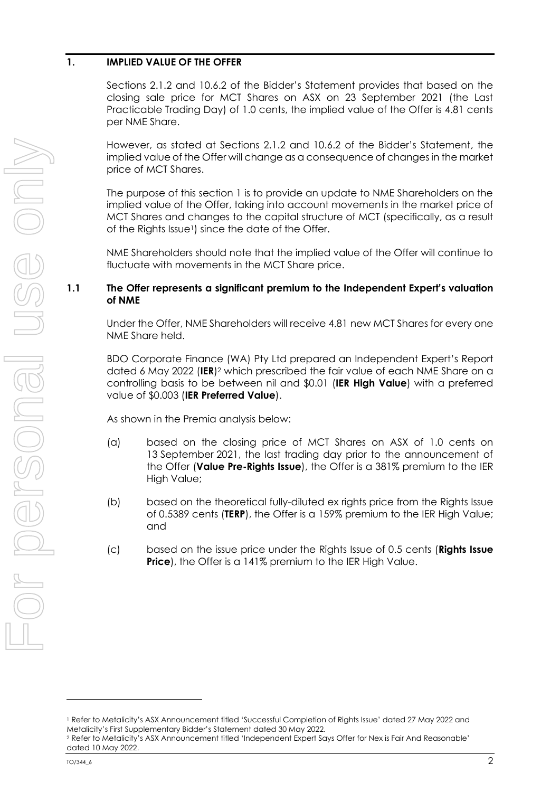## **1. IMPLIED VALUE OF THE OFFER**

Sections 2.1.2 and 10.6.2 of the Bidder's Statement provides that based on the closing sale price for MCT Shares on ASX on 23 September 2021 (the Last Practicable Trading Day) of 1.0 cents, the implied value of the Offer is 4.81 cents per NME Share.

However, as stated at Sections 2.1.2 and 10.6.2 of the Bidder's Statement, the implied value of the Offer will change as a consequence of changes in the market price of MCT Shares.

The purpose of this section 1 is to provide an update to NME Shareholders on the implied value of the Offer, taking into account movements in the market price of MCT Shares and changes to the capital structure of MCT (specifically, as a result of the Rights Issue<sup>1</sup>) since the date of the Offer.

NME Shareholders should note that the implied value of the Offer will continue to fluctuate with movements in the MCT Share price.

### **1.1 The Offer represents a significant premium to the Independent Expert's valuation of NME**

Under the Offer, NME Shareholders will receive 4.81 new MCT Shares for every one NME Share held.

BDO Corporate Finance (WA) Pty Ltd prepared an Independent Expert's Report dated 6 May 2022 (**IER**) <sup>2</sup> which prescribed the fair value of each NME Share on a controlling basis to be between nil and \$0.01 (**IER High Value**) with a preferred value of \$0.003 (**IER Preferred Value**).

As shown in the Premia analysis below:

- (a) based on the closing price of MCT Shares on ASX of 1.0 cents on 13 September 2021, the last trading day prior to the announcement of the Offer (**Value Pre-Rights Issue**), the Offer is a 381% premium to the IER High Value;
- (b) based on the theoretical fully-diluted ex rights price from the Rights Issue of 0.5389 cents (**TERP**), the Offer is a 159% premium to the IER High Value; and
- (c) based on the issue price under the Rights Issue of 0.5 cents (**Rights Issue Price**), the Offer is a 141% premium to the IER High Value.

<sup>1</sup> Refer to Metalicity's ASX Announcement titled 'Successful Completion of Rights Issue' dated 27 May 2022 and Metalicity's First Supplementary Bidder's Statement dated 30 May 2022.

<sup>2</sup> Refer to Metalicity's ASX Announcement titled 'Independent Expert Says Offer for Nex is Fair And Reasonable' dated 10 May 2022.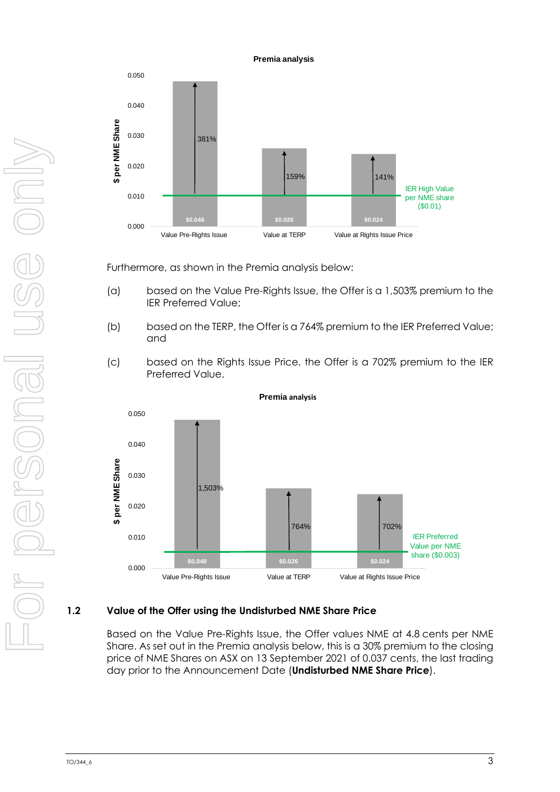#### **Premia analysis**



Furthermore, as shown in the Premia analysis below:

- (a) based on the Value Pre-Rights Issue, the Offer is a 1,503% premium to the IER Preferred Value;
- (b) based on the TERP, the Offer is a 764% premium to the IER Preferred Value; and
- (c) based on the Rights Issue Price, the Offer is a 702% premium to the IER Preferred Value.



#### **Premia analysis**

## **1.2 Value of the Offer using the Undisturbed NME Share Price**

Based on the Value Pre-Rights Issue, the Offer values NME at 4.8 cents per NME Share. As set out in the Premia analysis below, this is a 30% premium to the closing price of NME Shares on ASX on 13 September 2021 of 0.037 cents, the last trading day prior to the Announcement Date (**Undisturbed NME Share Price**).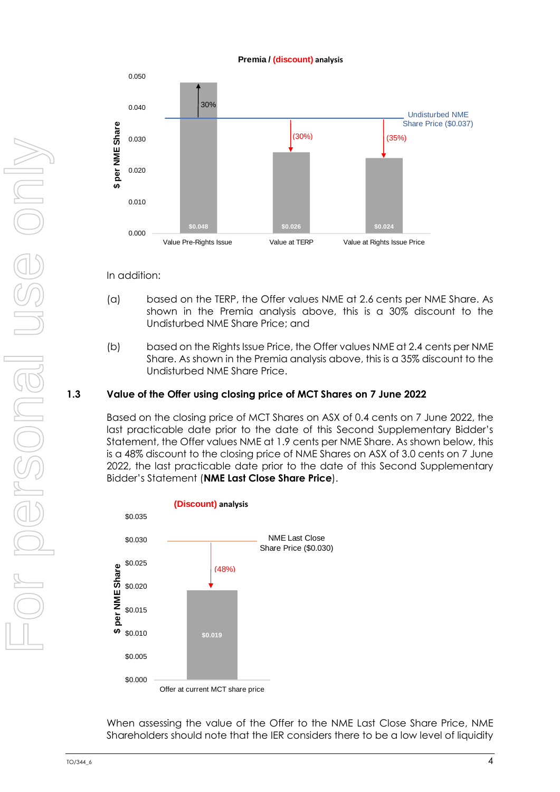#### **Premia / (discount) analysis**



In addition:

- (a) based on the TERP, the Offer values NME at 2.6 cents per NME Share. As shown in the Premia analysis above, this is a 30% discount to the Undisturbed NME Share Price; and
- (b) based on the Rights Issue Price, the Offer values NME at 2.4 cents per NME Share. As shown in the Premia analysis above, this is a 35% discount to the Undisturbed NME Share Price.

# **1.3 Value of the Offer using closing price of MCT Shares on 7 June 2022**

Based on the closing price of MCT Shares on ASX of 0.4 cents on 7 June 2022, the last practicable date prior to the date of this Second Supplementary Bidder's Statement, the Offer values NME at 1.9 cents per NME Share. As shown below, this is a 48% discount to the closing price of NME Shares on ASX of 3.0 cents on 7 June 2022, the last practicable date prior to the date of this Second Supplementary Bidder's Statement (**NME Last Close Share Price**).



When assessing the value of the Offer to the NME Last Close Share Price, NME Shareholders should note that the IER considers there to be a low level of liquidity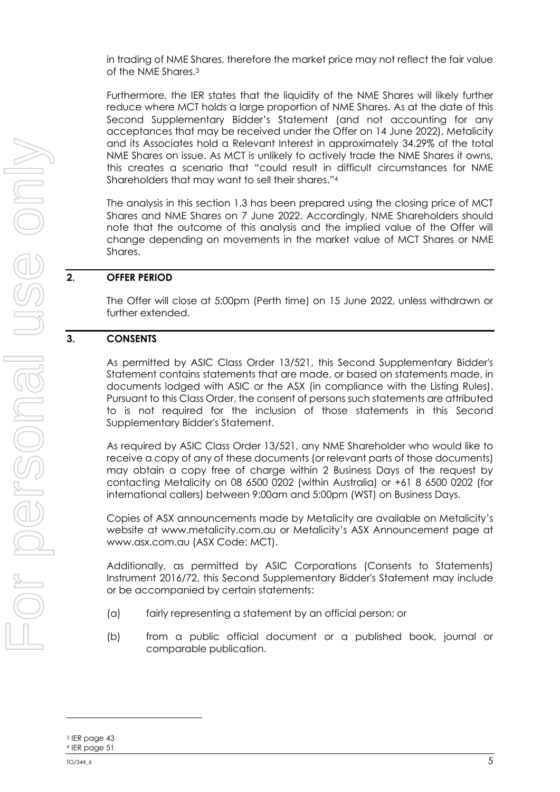in trading of NME Shares, therefore the market price may not reflect the fair value of the NME Shares. 3

Furthermore, the IER states that the liquidity of the NME Shares will likely further reduce where MCT holds a large proportion of NME Shares. As at the date of this Second Supplementary Bidder's Statement (and not accounting for any acceptances that may be received under the Offer on 14 June 2022), Metalicity and its Associates hold a Relevant Interest in approximately 34.29% of the total NME Shares on issue. As MCT is unlikely to actively trade the NME Shares it owns, this creates a scenario that "could result in difficult circumstances for NME Shareholders that may want to sell their shares."<sup>4</sup>

The analysis in this section 1.3 has been prepared using the closing price of MCT Shares and NME Shares on 7 June 2022. Accordingly, NME Shareholders should note that the outcome of this analysis and the implied value of the Offer will change depending on movements in the market value of MCT Shares or NME Shares.

# **2. OFFER PERIOD**

The Offer will close at 5:00pm (Perth time) on 15 June 2022, unless withdrawn or further extended.

## **3. CONSENTS**

As permitted by ASIC Class Order 13/521, this Second Supplementary Bidder's Statement contains statements that are made, or based on statements made, in documents lodged with ASIC or the ASX (in compliance with the Listing Rules). Pursuant to this Class Order, the consent of persons such statements are attributed to is not required for the inclusion of those statements in this Second Supplementary Bidder's Statement.

As required by ASIC Class Order 13/521, any NME Shareholder who would like to receive a copy of any of these documents (or relevant parts of those documents) may obtain a copy free of charge within 2 Business Days of the request by contacting Metalicity on 08 6500 0202 (within Australia) or +61 8 6500 0202 (for international callers) between 9:00am and 5:00pm (WST) on Business Days.

Copies of ASX announcements made by Metalicity are available on Metalicity's website at [www.metalicity.com.au](http://www.metalicity.com.au/) or Metalicity's ASX Announcement page at www.asx.com.au (ASX Code: MCT).

Additionally, as permitted by ASIC Corporations (Consents to Statements) Instrument 2016/72, this Second Supplementary Bidder's Statement may include or be accompanied by certain statements:

- (a) fairly representing a statement by an official person; or
- (b) from a public official document or a published book, journal or comparable publication.

<sup>3</sup> IER page 43 <sup>4</sup> IER page 51